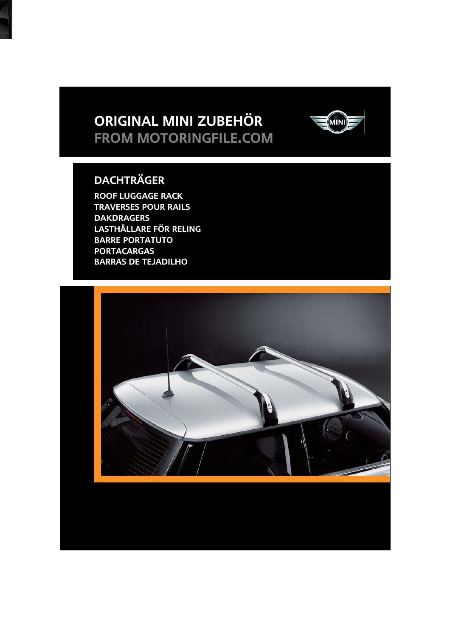# **Original MINI Zubehör from motoringfile.com**



## **Dachträger**

**Roof luggage rack Traverses pour rails DAKDRAGERS Lasthållare för reling Barre portatuto Portacargas Barras de tejadilho**

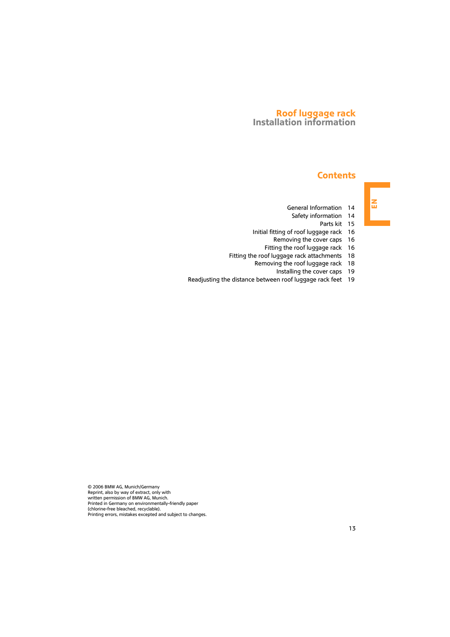#### **Roof luggage rack Installation information**

#### **Contents**

- [General Information 14](#page-2-0)
- [Safety information 14](#page-2-1)
	- [Parts kit 15](#page-3-0)
- [Initial fitting of roof luggage rack 16](#page-4-0)
	- [Removing the cover caps 16](#page-4-1)
	- [Fitting the roof luggage rack 16](#page-4-2)
- [Fitting the roof luggage rack attachments 18](#page-6-0)
	- [Removing the roof luggage rack 18](#page-6-1)
		- [Installing the cover caps 19](#page-7-0)
- [Readjusting the distance between roof luggage rack feet 19](#page-7-1)

© 2006 BMW AG, Munich/Germany Reprint, also by way of extract, only with written permission of BMW AG, Munich. Printed in Germany on environmentally-friendly paper (chlorine-free bleached, recyclable). Printing errors, mistakes excepted and subject to changes.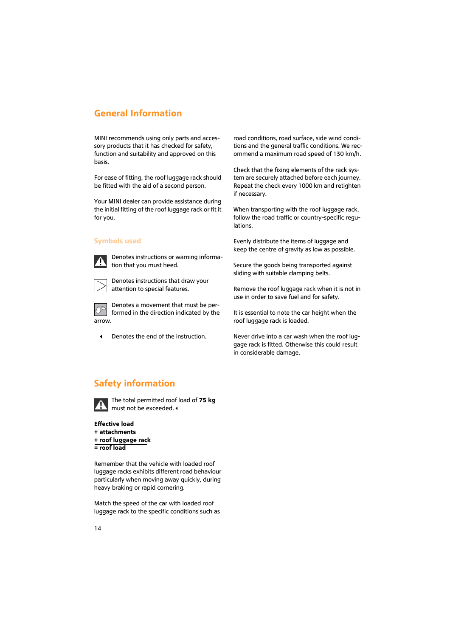#### <span id="page-2-0"></span>**General Information**

MINI recommends using only parts and accessory products that it has checked for safety, function and suitability and approved on this basis.

For ease of fitting, the roof luggage rack should be fitted with the aid of a second person.

Your MINI dealer can provide assistance during the initial fitting of the roof luggage rack or fit it for you.

#### **Symbols used**



Denotes instructions or warning information that you must heed.



Denotes instructions that draw your attention to special features.

Denotes a movement that must be performed in the direction indicated by the arrow.

Denotes the end of the instruction.

road conditions, road surface, side wind conditions and the general traffic conditions. We recommend a maximum road speed of 130 km/h.

Check that the fixing elements of the rack system are securely attached before each journey. Repeat the check every 1000 km and retighten if necessary.

When transporting with the roof luggage rack, follow the road traffic or country-specific regulations.

Evenly distribute the items of luggage and keep the centre of gravity as low as possible.

Secure the goods being transported against sliding with suitable clamping belts.

Remove the roof luggage rack when it is not in use in order to save fuel and for safety.

It is essential to note the car height when the roof luggage rack is loaded.

Never drive into a car wash when the roof luggage rack is fitted. Otherwise this could result in considerable damage.

### <span id="page-2-1"></span>**Safety information**



The total permitted roof load of **75 kg** must not be exceeded.

**Effective load + attachments + roof luggage rack = roof load**

Remember that the vehicle with loaded roof luggage racks exhibits different road behaviour particularly when moving away quickly, during heavy braking or rapid cornering.

Match the speed of the car with loaded roof luggage rack to the specific conditions such as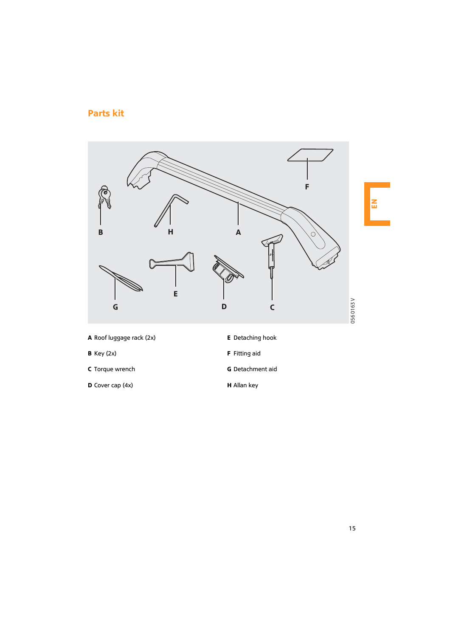### <span id="page-3-0"></span>**Parts kit**



- **A** Roof luggage rack (2x)
- **B** Key (2x)
- **C** Torque wrench
- **D** Cover cap (4x)
- **E** Detaching hook
- **F** Fitting aid
- **G** Detachment aid
- **H** Allan key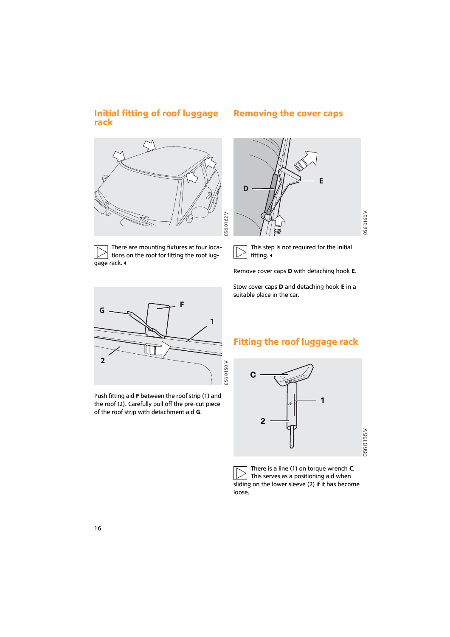#### <span id="page-4-0"></span>**Initial fitting of roof luggage Removing the cover caps rack**



There are mounting fixtures at four locations on the roof for fitting the roof luggage rack.

<span id="page-4-1"></span>

This step is not required for the initial fitting.

Remove cover caps **D** with detaching hook **E**.

Stow cover caps **D** and detaching hook **E** in a suitable place in the car.



Push fitting aid **F** between the roof strip (1) and the roof (2). Carefully pull off the pre-cut piece of the roof strip with detachment aid **G**.

#### <span id="page-4-2"></span>**Fitting the roof luggage rack**



There is a line (1) on torque wrench **C**. This serves as a positioning aid when sliding on the lower sleeve (2) if it has become loose.

056 0155 V

0560155V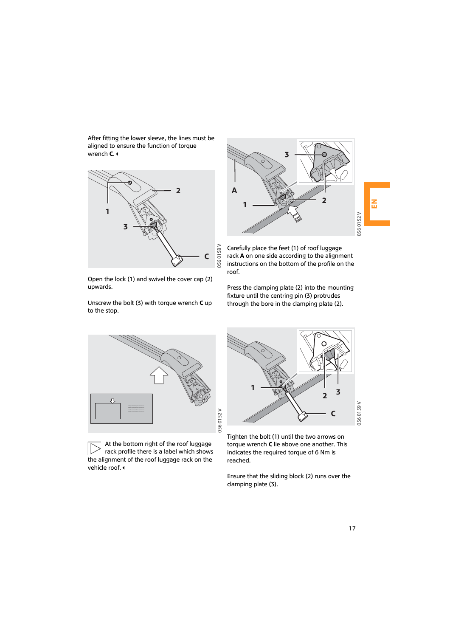After fitting the lower sleeve, the lines must be aligned to ensure the function of torque wrench **C**.



Open the lock (1) and swivel the cover cap (2) upwards.

Unscrew the bolt (3) with torque wrench **C** up to the stop.



Carefully place the feet (1) of roof luggage rack **A** on one side according to the alignment instructions on the bottom of the profile on the roof.

Press the clamping plate (2) into the mounting fixture until the centring pin (3) protrudes through the bore in the clamping plate (2).



At the bottom right of the roof luggage rack profile there is a label which shows the alignment of the roof luggage rack on the vehicle roof.



Tighten the bolt (1) until the two arrows on torque wrench **C** lie above one another. This indicates the required torque of 6 Nm is reached.

Ensure that the sliding block (2) runs over the clamping plate (3).

056 0152 V

**J56 0152 V**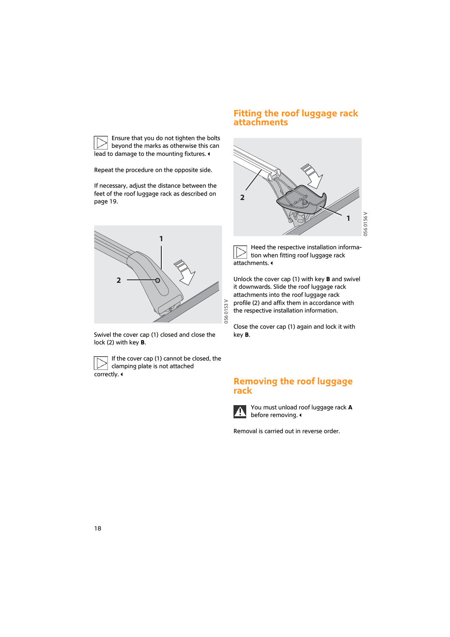#### <span id="page-6-0"></span>**Fitting the roof luggage rack attachments**



Heed the respective installation information when fitting roof luggage rack attachments.

Unlock the cover cap (1) with key **B** and swivel it downwards. Slide the roof luggage rack attachments into the roof luggage rack profile (2) and affix them in accordance with the respective installation information.

Close the cover cap (1) again and lock it with key **B**.

#### <span id="page-6-1"></span>**Removing the roof luggage rack**



You must unload roof luggage rack **A** before removing.

Removal is carried out in reverse order.



Repeat the procedure on the opposite side.

If necessary, adjust the distance between the feet of the roof luggage rack as described on page [19](#page-7-1).



Swivel the cover cap (1) closed and close the lock (2) with key **B**.



If the cover cap (1) cannot be closed, the clamping plate is not attached

correctly.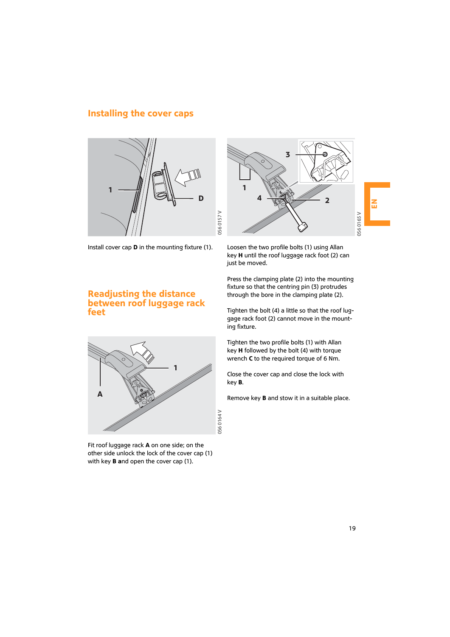#### <span id="page-7-0"></span>**Installing the cover caps**



Install cover cap **D** in the mounting fixture (1).



Loosen the two profile bolts (1) using Allan key **H** until the roof luggage rack foot (2) can just be moved.

Press the clamping plate (2) into the mounting fixture so that the centring pin (3) protrudes through the bore in the clamping plate (2).

Tighten the bolt (4) a little so that the roof luggage rack foot (2) cannot move in the mounting fixture.

Tighten the two profile bolts (1) with Allan key **H** followed by the bolt (4) with torque wrench **C** to the required torque of 6 Nm.

Close the cover cap and close the lock with key **B**.

Remove key **B** and stow it in a suitable place.

<span id="page-7-1"></span>



Fit roof luggage rack **A** on one side; on the other side unlock the lock of the cover cap (1) with key **B a**nd open the cover cap (1).

**H**